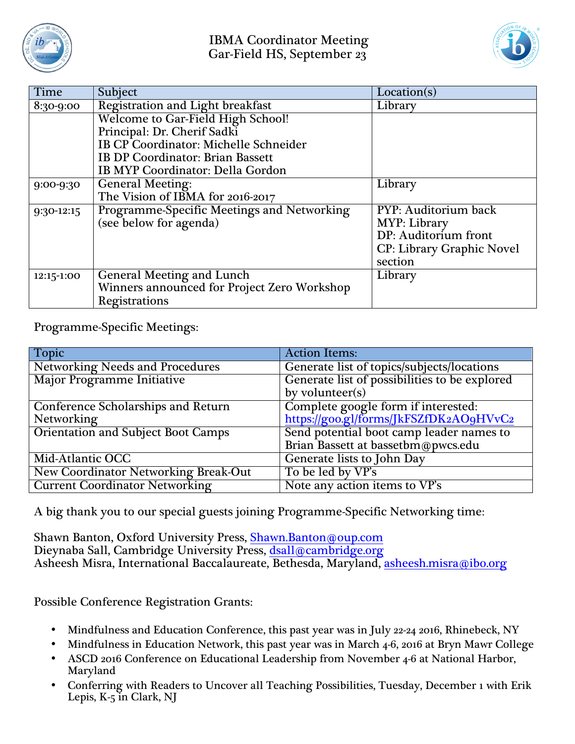



| Time       | Subject                                     | Location(s)                      |
|------------|---------------------------------------------|----------------------------------|
| 8:30-9:00  | <b>Registration and Light breakfast</b>     | Library                          |
|            | Welcome to Gar-Field High School!           |                                  |
|            | Principal: Dr. Cherif Sadki                 |                                  |
|            | IB CP Coordinator: Michelle Schneider       |                                  |
|            | <b>IB DP Coordinator: Brian Bassett</b>     |                                  |
|            | IB MYP Coordinator: Della Gordon            |                                  |
| 9:00-9:30  | <b>General Meeting:</b>                     | Library                          |
|            | The Vision of IBMA for 2016-2017            |                                  |
| 9:30-12:15 | Programme-Specific Meetings and Networking  | PYP: Auditorium back             |
|            | (see below for agenda)                      | MYP: Library                     |
|            |                                             | DP: Auditorium front             |
|            |                                             | <b>CP: Library Graphic Novel</b> |
|            |                                             | section                          |
| 12:15-1:00 | <b>General Meeting and Lunch</b>            | Library                          |
|            | Winners announced for Project Zero Workshop |                                  |
|            | Registrations                               |                                  |

Programme-Specific Meetings:

| <b>Topic</b>                                | <b>Action Items:</b>                                                          |  |
|---------------------------------------------|-------------------------------------------------------------------------------|--|
| <b>Networking Needs and Procedures</b>      | Generate list of topics/subjects/locations                                    |  |
| Major Programme Initiative                  | Generate list of possibilities to be explored                                 |  |
|                                             | by volunteer(s)                                                               |  |
| <b>Conference Scholarships and Return</b>   | Complete google form if interested:<br>https://goo.gl/forms/JkFSZfDK2AO9HVvC2 |  |
| Networking                                  |                                                                               |  |
| <b>Orientation and Subject Boot Camps</b>   | Send potential boot camp leader names to                                      |  |
|                                             | Brian Bassett at bassetbm@pwcs.edu                                            |  |
| Mid-Atlantic OCC                            | Generate lists to John Day                                                    |  |
| <b>New Coordinator Networking Break-Out</b> | To be led by VP's                                                             |  |
| <b>Current Coordinator Networking</b>       | Note any action items to VP's                                                 |  |

A big thank you to our special guests joining Programme-Specific Networking time:

Shawn Banton, Oxford University Press, Shawn.Banton@oup.com Dieynaba Sall, Cambridge University Press, dsall@cambridge.org Asheesh Misra, International Baccalaureate, Bethesda, Maryland, asheesh.misra@ibo.org

Possible Conference Registration Grants:

- Mindfulness and Education Conference, this past year was in July 22-24 2016, Rhinebeck, NY
- Mindfulness in Education Network, this past year was in March 4-6, 2016 at Bryn Mawr College
- ASCD 2016 Conference on Educational Leadership from November 4-6 at National Harbor, Maryland
- Conferring with Readers to Uncover all Teaching Possibilities, Tuesday, December 1 with Erik Lepis, K-5 in Clark, NJ